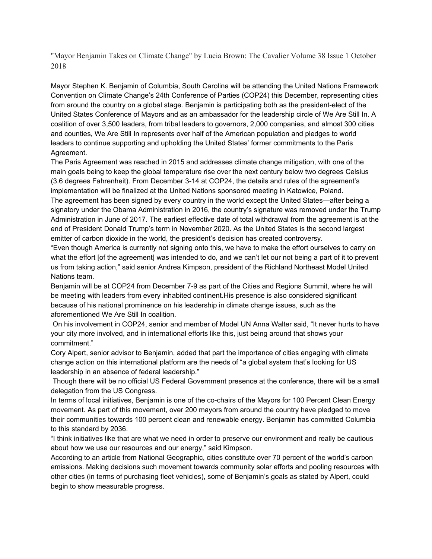"Mayor Benjamin Takes on Climate Change" by Lucia Brown: The Cavalier Volume 38 Issue 1 October 2018

Mayor Stephen K. Benjamin of Columbia, South Carolina will be attending the United Nations Framework Convention on Climate Change's 24th Conference of Parties (COP24) this December, representing cities from around the country on a global stage. Benjamin is participating both as the president-elect of the United States Conference of Mayors and as an ambassador for the leadership circle of We Are Still In. A coalition of over 3,500 leaders, from tribal leaders to governors, 2,000 companies, and almost 300 cities and counties, We Are Still In represents over half of the American population and pledges to world leaders to continue supporting and upholding the United States' former commitments to the Paris Agreement.

The Paris Agreement was reached in 2015 and addresses climate change mitigation, with one of the main goals being to keep the global temperature rise over the next century below two degrees Celsius (3.6 degrees Fahrenheit). From December 3-14 at COP24, the details and rules of the agreement's implementation will be finalized at the United Nations sponsored meeting in Katowice, Poland. The agreement has been signed by every country in the world except the United States—after being a signatory under the Obama Administration in 2016, the country's signature was removed under the Trump Administration in June of 2017. The earliest effective date of total withdrawal from the agreement is at the end of President Donald Trump's term in November 2020. As the United States is the second largest emitter of carbon dioxide in the world, the president's decision has created controversy.

"Even though America is currently not signing onto this, we have to make the effort ourselves to carry on what the effort [of the agreement] was intended to do, and we can't let our not being a part of it to prevent us from taking action," said senior Andrea Kimpson, president of the Richland Northeast Model United Nations team.

Benjamin will be at COP24 from December 7-9 as part of the Cities and Regions Summit, where he will be meeting with leaders from every inhabited continent.His presence is also considered significant because of his national prominence on his leadership in climate change issues, such as the aforementioned We Are Still In coalition.

On his involvement in COP24, senior and member of Model UN Anna Walter said, "It never hurts to have your city more involved, and in international efforts like this, just being around that shows your commitment."

Cory Alpert, senior advisor to Benjamin, added that part the importance of cities engaging with climate change action on this international platform are the needs of "a global system that's looking for US leadership in an absence of federal leadership."

Though there will be no official US Federal Government presence at the conference, there will be a small delegation from the US Congress.

In terms of local initiatives, Benjamin is one of the co-chairs of the Mayors for 100 Percent Clean Energy movement. As part of this movement, over 200 mayors from around the country have pledged to move their communities towards 100 percent clean and renewable energy. Benjamin has committed Columbia to this standard by 2036.

"I think initiatives like that are what we need in order to preserve our environment and really be cautious about how we use our resources and our energy," said Kimpson.

According to an article from National Geographic, cities constitute over 70 percent of the world's carbon emissions. Making decisions such movement towards community solar efforts and pooling resources with other cities (in terms of purchasing fleet vehicles), some of Benjamin's goals as stated by Alpert, could begin to show measurable progress.